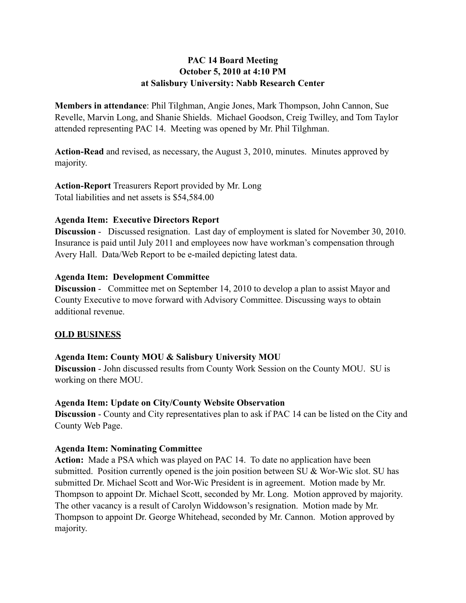## **PAC 14 Board Meeting October 5, 2010 at 4:10 PM at Salisbury University: Nabb Research Center**

**Members in attendance**: Phil Tilghman, Angie Jones, Mark Thompson, John Cannon, Sue Revelle, Marvin Long, and Shanie Shields. Michael Goodson, Creig Twilley, and Tom Taylor attended representing PAC 14. Meeting was opened by Mr. Phil Tilghman.

**Action-Read** and revised, as necessary, the August 3, 2010, minutes. Minutes approved by majority.

**Action-Report** Treasurers Report provided by Mr. Long Total liabilities and net assets is \$54,584.00

## **Agenda Item: Executive Directors Report**

**Discussion** - Discussed resignation. Last day of employment is slated for November 30, 2010. Insurance is paid until July 2011 and employees now have workman's compensation through Avery Hall. Data/Web Report to be e-mailed depicting latest data.

### **Agenda Item: Development Committee**

**Discussion** - Committee met on September 14, 2010 to develop a plan to assist Mayor and County Executive to move forward with Advisory Committee. Discussing ways to obtain additional revenue.

# **OLD BUSINESS**

# **Agenda Item: County MOU & Salisbury University MOU**

**Discussion** - John discussed results from County Work Session on the County MOU. SU is working on there MOU.

### **Agenda Item: Update on City/County Website Observation**

**Discussion** - County and City representatives plan to ask if PAC 14 can be listed on the City and County Web Page.

### **Agenda Item: Nominating Committee**

**Action:** Made a PSA which was played on PAC 14. To date no application have been submitted. Position currently opened is the join position between SU & Wor-Wic slot. SU has submitted Dr. Michael Scott and Wor-Wic President is in agreement. Motion made by Mr. Thompson to appoint Dr. Michael Scott, seconded by Mr. Long. Motion approved by majority. The other vacancy is a result of Carolyn Widdowson's resignation. Motion made by Mr. Thompson to appoint Dr. George Whitehead, seconded by Mr. Cannon. Motion approved by majority.